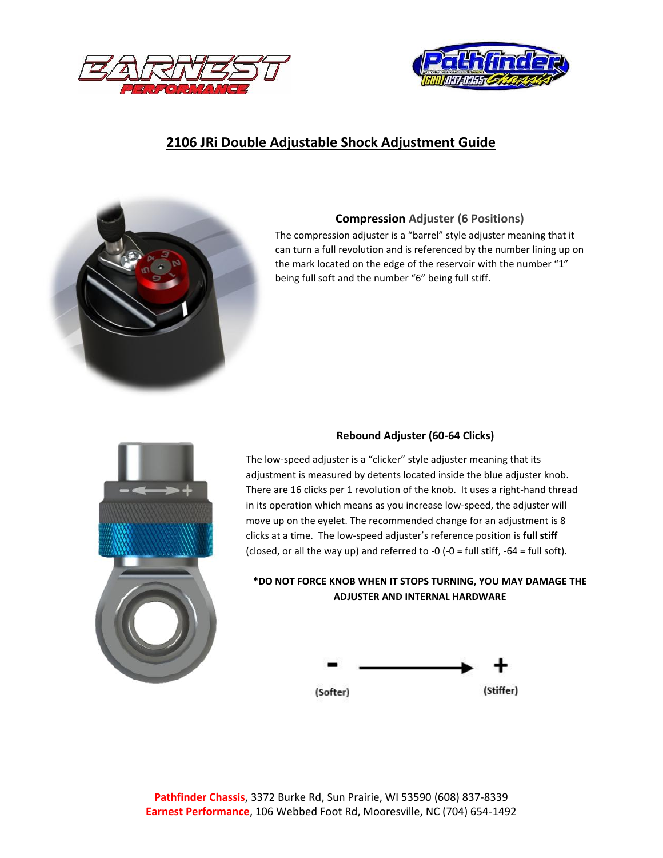



# **2106 JRi Double Adjustable Shock Adjustment Guide**



### **Compression Adjuster (6 Positions)**

The compression adjuster is a "barrel" style adjuster meaning that it can turn a full revolution and is referenced by the number lining up on the mark located on the edge of the reservoir with the number "1" being full soft and the number "6" being full stiff.



#### **Rebound Adjuster (60-64 Clicks)**

The low-speed adjuster is a "clicker" style adjuster meaning that its adjustment is measured by detents located inside the blue adjuster knob. There are 16 clicks per 1 revolution of the knob. It uses a right-hand thread in its operation which means as you increase low-speed, the adjuster will move up on the eyelet. The recommended change for an adjustment is 8 clicks at a time. The low-speed adjuster's reference position is **full stiff** (closed, or all the way up) and referred to -0 (-0 = full stiff, -64 = full soft).

#### **\*DO NOT FORCE KNOB WHEN IT STOPS TURNING, YOU MAY DAMAGE THE ADJUSTER AND INTERNAL HARDWARE**